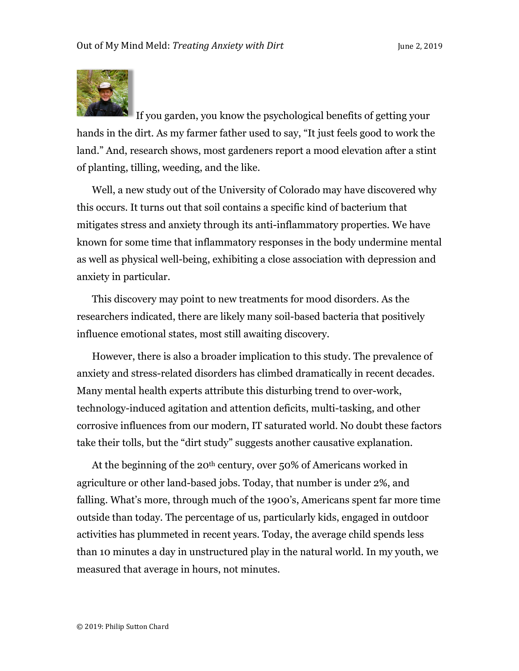

If you garden, you know the psychological benefits of getting your hands in the dirt. As my farmer father used to say, "It just feels good to work the land." And, research shows, most gardeners report a mood elevation after a stint of planting, tilling, weeding, and the like.

Well, a new study out of the University of Colorado may have discovered why this occurs. It turns out that soil contains a specific kind of bacterium that mitigates stress and anxiety through its anti-inflammatory properties. We have known for some time that inflammatory responses in the body undermine mental as well as physical well-being, exhibiting a close association with depression and anxiety in particular.

This discovery may point to new treatments for mood disorders. As the researchers indicated, there are likely many soil-based bacteria that positively influence emotional states, most still awaiting discovery.

However, there is also a broader implication to this study. The prevalence of anxiety and stress-related disorders has climbed dramatically in recent decades. Many mental health experts attribute this disturbing trend to over-work, technology-induced agitation and attention deficits, multi-tasking, and other corrosive influences from our modern, IT saturated world. No doubt these factors take their tolls, but the "dirt study" suggests another causative explanation.

At the beginning of the 20<sup>th</sup> century, over 50% of Americans worked in agriculture or other land-based jobs. Today, that number is under 2%, and falling. What's more, through much of the 1900's, Americans spent far more time outside than today. The percentage of us, particularly kids, engaged in outdoor activities has plummeted in recent years. Today, the average child spends less than 10 minutes a day in unstructured play in the natural world. In my youth, we measured that average in hours, not minutes.